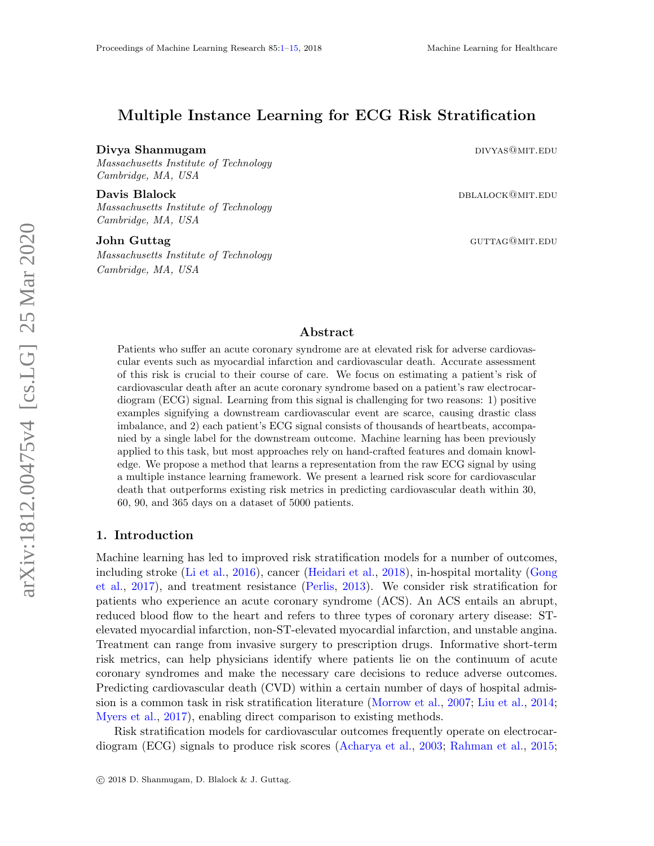# <span id="page-0-0"></span>Multiple Instance Learning for ECG Risk Stratification

#### Divya Shanmugam divideo and the control of the control of the control of the control of the control of the control of the control of the control of the control of the control of the control of the control of the control of

Massachusetts Institute of Technology Cambridge, MA, USA

**Davis Blalock** dblack dblack dblack dblack dblack dblack dblack dblack dblack dblack dblack dblack dblack dblack Massachusetts Institute of Technology Cambridge, MA, USA

Massachusetts Institute of Technology Cambridge, MA, USA

John Guttag and the contract of the contract of the contract of the contract of the contract of the contract of the contract of the contract of the contract of the contract of the contract of the contract of the contract o

## Abstract

Patients who suffer an acute coronary syndrome are at elevated risk for adverse cardiovascular events such as myocardial infarction and cardiovascular death. Accurate assessment of this risk is crucial to their course of care. We focus on estimating a patient's risk of cardiovascular death after an acute coronary syndrome based on a patient's raw electrocardiogram (ECG) signal. Learning from this signal is challenging for two reasons: 1) positive examples signifying a downstream cardiovascular event are scarce, causing drastic class imbalance, and 2) each patient's ECG signal consists of thousands of heartbeats, accompanied by a single label for the downstream outcome. Machine learning has been previously applied to this task, but most approaches rely on hand-crafted features and domain knowledge. We propose a method that learns a representation from the raw ECG signal by using a multiple instance learning framework. We present a learned risk score for cardiovascular death that outperforms existing risk metrics in predicting cardiovascular death within 30, 60, 90, and 365 days on a dataset of 5000 patients.

## 1. Introduction

Machine learning has led to improved risk stratification models for a number of outcomes, including stroke [\(Li et al.,](#page-12-0) [2016\)](#page-12-0), cancer [\(Heidari et al.,](#page-11-0) [2018\)](#page-11-0), in-hospital mortality [\(Gong](#page-11-1) [et al.,](#page-11-1) [2017\)](#page-11-1), and treatment resistance [\(Perlis,](#page-12-1) [2013\)](#page-12-1). We consider risk stratification for patients who experience an acute coronary syndrome (ACS). An ACS entails an abrupt, reduced blood flow to the heart and refers to three types of coronary artery disease: STelevated myocardial infarction, non-ST-elevated myocardial infarction, and unstable angina. Treatment can range from invasive surgery to prescription drugs. Informative short-term risk metrics, can help physicians identify where patients lie on the continuum of acute coronary syndromes and make the necessary care decisions to reduce adverse outcomes. Predicting cardiovascular death (CVD) within a certain number of days of hospital admission is a common task in risk stratification literature [\(Morrow et al.,](#page-12-2) [2007;](#page-12-2) [Liu et al.,](#page-12-3) [2014;](#page-12-3) [Myers et al.,](#page-12-4) [2017\)](#page-12-4), enabling direct comparison to existing methods.

Risk stratification models for cardiovascular outcomes frequently operate on electrocardiogram (ECG) signals to produce risk scores [\(Acharya et al.,](#page-10-0) [2003;](#page-10-0) [Rahman et al.,](#page-13-0) [2015;](#page-13-0)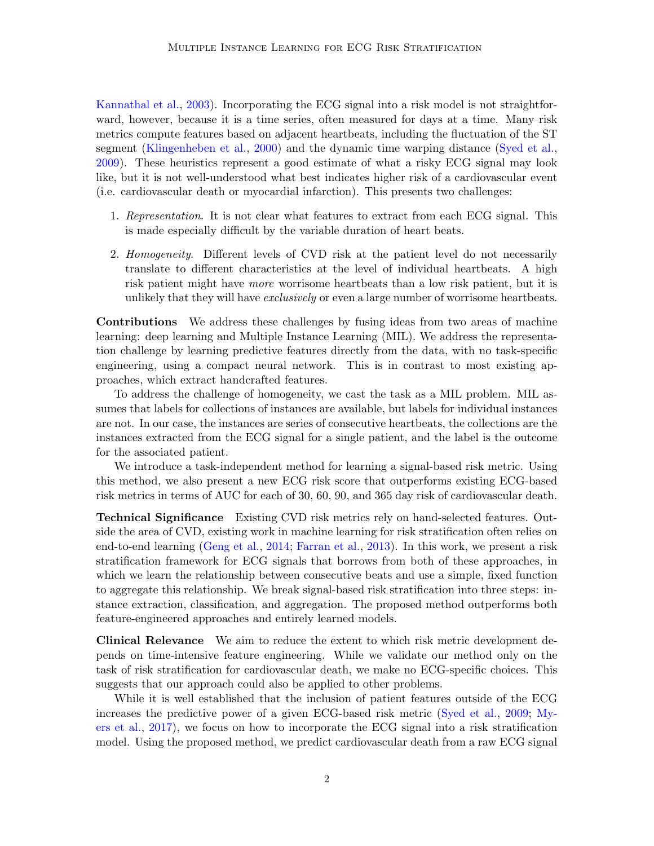[Kannathal et al.,](#page-11-2) [2003\)](#page-11-2). Incorporating the ECG signal into a risk model is not straightforward, however, because it is a time series, often measured for days at a time. Many risk metrics compute features based on adjacent heartbeats, including the fluctuation of the ST segment [\(Klingenheben et al.,](#page-12-5) [2000\)](#page-12-5) and the dynamic time warping distance [\(Syed et al.,](#page-13-1) [2009\)](#page-13-1). These heuristics represent a good estimate of what a risky ECG signal may look like, but it is not well-understood what best indicates higher risk of a cardiovascular event (i.e. cardiovascular death or myocardial infarction). This presents two challenges:

- 1. Representation. It is not clear what features to extract from each ECG signal. This is made especially difficult by the variable duration of heart beats.
- 2. Homogeneity. Different levels of CVD risk at the patient level do not necessarily translate to different characteristics at the level of individual heartbeats. A high risk patient might have more worrisome heartbeats than a low risk patient, but it is unlikely that they will have *exclusively* or even a large number of worrisome heartbeats.

Contributions We address these challenges by fusing ideas from two areas of machine learning: deep learning and Multiple Instance Learning (MIL). We address the representation challenge by learning predictive features directly from the data, with no task-specific engineering, using a compact neural network. This is in contrast to most existing approaches, which extract handcrafted features.

To address the challenge of homogeneity, we cast the task as a MIL problem. MIL assumes that labels for collections of instances are available, but labels for individual instances are not. In our case, the instances are series of consecutive heartbeats, the collections are the instances extracted from the ECG signal for a single patient, and the label is the outcome for the associated patient.

We introduce a task-independent method for learning a signal-based risk metric. Using this method, we also present a new ECG risk score that outperforms existing ECG-based risk metrics in terms of AUC for each of 30, 60, 90, and 365 day risk of cardiovascular death.

Technical Significance Existing CVD risk metrics rely on hand-selected features. Outside the area of CVD, existing work in machine learning for risk stratification often relies on end-to-end learning [\(Geng et al.,](#page-11-3) [2014;](#page-11-3) [Farran et al.,](#page-11-4) [2013\)](#page-11-4). In this work, we present a risk stratification framework for ECG signals that borrows from both of these approaches, in which we learn the relationship between consecutive beats and use a simple, fixed function to aggregate this relationship. We break signal-based risk stratification into three steps: instance extraction, classification, and aggregation. The proposed method outperforms both feature-engineered approaches and entirely learned models.

Clinical Relevance We aim to reduce the extent to which risk metric development depends on time-intensive feature engineering. While we validate our method only on the task of risk stratification for cardiovascular death, we make no ECG-specific choices. This suggests that our approach could also be applied to other problems.

While it is well established that the inclusion of patient features outside of the ECG increases the predictive power of a given ECG-based risk metric [\(Syed et al.,](#page-13-1) [2009;](#page-13-1) [My](#page-12-4)[ers et al.,](#page-12-4) [2017\)](#page-12-4), we focus on how to incorporate the ECG signal into a risk stratification model. Using the proposed method, we predict cardiovascular death from a raw ECG signal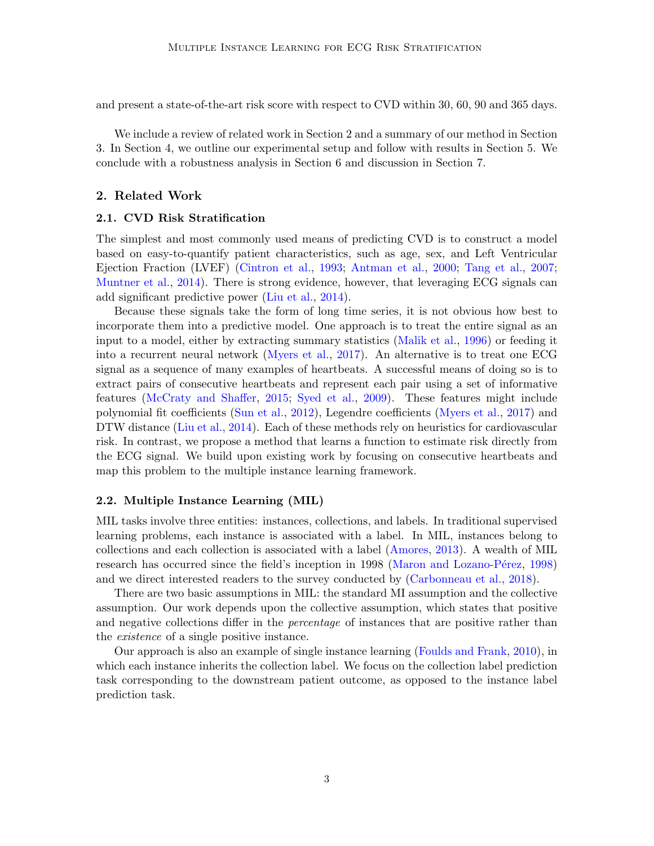and present a state-of-the-art risk score with respect to CVD within 30, 60, 90 and 365 days.

We include a review of related work in Section 2 and a summary of our method in Section 3. In Section 4, we outline our experimental setup and follow with results in Section 5. We conclude with a robustness analysis in Section 6 and discussion in Section 7.

## 2. Related Work

## 2.1. CVD Risk Stratification

The simplest and most commonly used means of predicting CVD is to construct a model based on easy-to-quantify patient characteristics, such as age, sex, and Left Ventricular Ejection Fraction (LVEF) [\(Cintron et al.,](#page-11-5) [1993;](#page-11-5) [Antman et al.,](#page-10-1) [2000;](#page-10-1) [Tang et al.,](#page-13-2) [2007;](#page-13-2) [Muntner et al.,](#page-12-6) [2014\)](#page-12-6). There is strong evidence, however, that leveraging ECG signals can add significant predictive power [\(Liu et al.,](#page-12-3) [2014\)](#page-12-3).

Because these signals take the form of long time series, it is not obvious how best to incorporate them into a predictive model. One approach is to treat the entire signal as an input to a model, either by extracting summary statistics [\(Malik et al.,](#page-12-7) [1996\)](#page-12-7) or feeding it into a recurrent neural network [\(Myers et al.,](#page-12-4) [2017\)](#page-12-4). An alternative is to treat one ECG signal as a sequence of many examples of heartbeats. A successful means of doing so is to extract pairs of consecutive heartbeats and represent each pair using a set of informative features [\(McCraty and Shaffer,](#page-12-8) [2015;](#page-12-8) [Syed et al.,](#page-13-1) [2009\)](#page-13-1). These features might include polynomial fit coefficients [\(Sun et al.,](#page-13-3) [2012\)](#page-13-3), Legendre coefficients [\(Myers et al.,](#page-12-4) [2017\)](#page-12-4) and DTW distance [\(Liu et al.,](#page-12-3) [2014\)](#page-12-3). Each of these methods rely on heuristics for cardiovascular risk. In contrast, we propose a method that learns a function to estimate risk directly from the ECG signal. We build upon existing work by focusing on consecutive heartbeats and map this problem to the multiple instance learning framework.

#### 2.2. Multiple Instance Learning (MIL)

MIL tasks involve three entities: instances, collections, and labels. In traditional supervised learning problems, each instance is associated with a label. In MIL, instances belong to collections and each collection is associated with a label [\(Amores,](#page-10-2) [2013\)](#page-10-2). A wealth of MIL research has occurred since the field's inception in 1998 (Maron and Lozano-Pérez, [1998\)](#page-12-9) and we direct interested readers to the survey conducted by [\(Carbonneau et al.,](#page-11-6) [2018\)](#page-11-6).

There are two basic assumptions in MIL: the standard MI assumption and the collective assumption. Our work depends upon the collective assumption, which states that positive and negative collections differ in the *percentage* of instances that are positive rather than the *existence* of a single positive instance.

Our approach is also an example of single instance learning [\(Foulds and Frank,](#page-11-7) [2010\)](#page-11-7), in which each instance inherits the collection label. We focus on the collection label prediction task corresponding to the downstream patient outcome, as opposed to the instance label prediction task.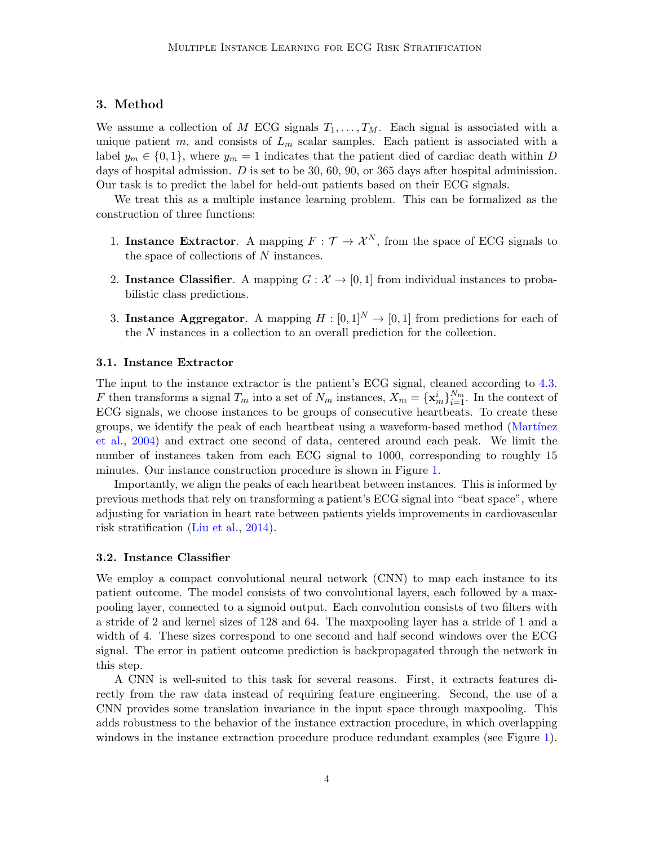## 3. Method

We assume a collection of M ECG signals  $T_1, \ldots, T_M$ . Each signal is associated with a unique patient m, and consists of  $L_m$  scalar samples. Each patient is associated with a label  $y_m \in \{0, 1\}$ , where  $y_m = 1$  indicates that the patient died of cardiac death within D days of hospital admission. D is set to be 30, 60, 90, or 365 days after hospital adminission. Our task is to predict the label for held-out patients based on their ECG signals.

We treat this as a multiple instance learning problem. This can be formalized as the construction of three functions:

- 1. Instance Extractor. A mapping  $F: \mathcal{T} \to \mathcal{X}^N$ , from the space of ECG signals to the space of collections of N instances.
- 2. Instance Classifier. A mapping  $G : \mathcal{X} \to [0,1]$  from individual instances to probabilistic class predictions.
- 3. Instance Aggregator. A mapping  $H : [0, 1]^N \to [0, 1]$  from predictions for each of the N instances in a collection to an overall prediction for the collection.

#### 3.1. Instance Extractor

The input to the instance extractor is the patient's ECG signal, cleaned according to [4.3.](#page-5-0) F then transforms a signal  $T_m$  into a set of  $N_m$  instances,  $X_m = {\mathbf{x}_m^i}_{i=1}^{N_m}$ . In the context of ECG signals, we choose instances to be groups of consecutive heartbeats. To create these groups, we identify the peak of each heartbeat using a waveform-based method (Martínez [et al.,](#page-12-10) [2004\)](#page-12-10) and extract one second of data, centered around each peak. We limit the number of instances taken from each ECG signal to 1000, corresponding to roughly 15 minutes. Our instance construction procedure is shown in Figure [1.](#page-4-0)

Importantly, we align the peaks of each heartbeat between instances. This is informed by previous methods that rely on transforming a patient's ECG signal into "beat space", where adjusting for variation in heart rate between patients yields improvements in cardiovascular risk stratification [\(Liu et al.,](#page-12-3) [2014\)](#page-12-3).

#### 3.2. Instance Classifier

We employ a compact convolutional neural network (CNN) to map each instance to its patient outcome. The model consists of two convolutional layers, each followed by a maxpooling layer, connected to a sigmoid output. Each convolution consists of two filters with a stride of 2 and kernel sizes of 128 and 64. The maxpooling layer has a stride of 1 and a width of 4. These sizes correspond to one second and half second windows over the ECG signal. The error in patient outcome prediction is backpropagated through the network in this step.

A CNN is well-suited to this task for several reasons. First, it extracts features directly from the raw data instead of requiring feature engineering. Second, the use of a CNN provides some translation invariance in the input space through maxpooling. This adds robustness to the behavior of the instance extraction procedure, in which overlapping windows in the instance extraction procedure produce redundant examples (see Figure [1\)](#page-4-0).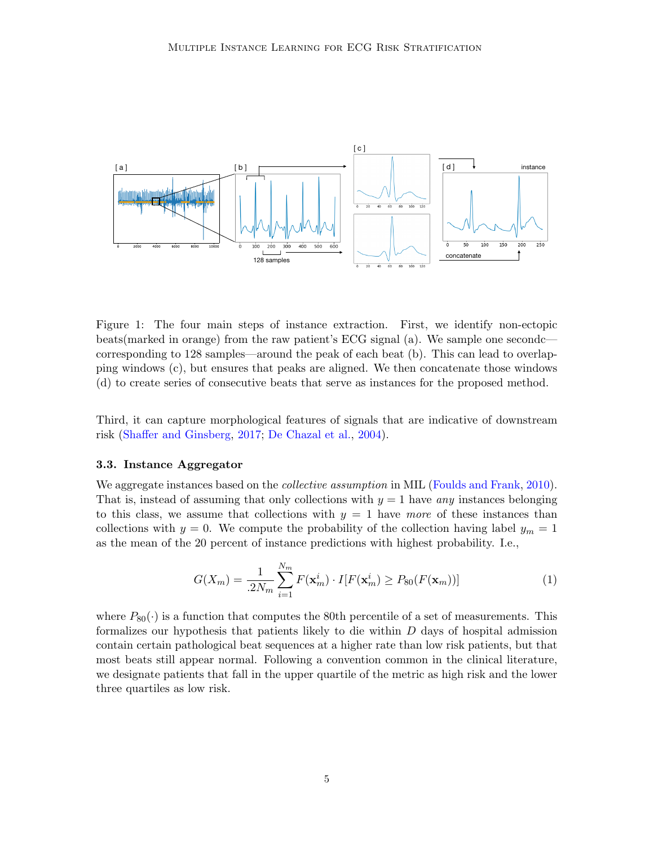<span id="page-4-0"></span>

Figure 1: The four main steps of instance extraction. First, we identify non-ectopic beats(marked in orange) from the raw patient's ECG signal (a). We sample one secondc corresponding to 128 samples—around the peak of each beat (b). This can lead to overlapping windows (c), but ensures that peaks are aligned. We then concatenate those windows (d) to create series of consecutive beats that serve as instances for the proposed method.

Third, it can capture morphological features of signals that are indicative of downstream risk [\(Shaffer and Ginsberg,](#page-13-4) [2017;](#page-13-4) [De Chazal et al.,](#page-11-8) [2004\)](#page-11-8).

#### 3.3. Instance Aggregator

We aggregate instances based on the *collective assumption* in MIL [\(Foulds and Frank,](#page-11-7) [2010\)](#page-11-7). That is, instead of assuming that only collections with  $y = 1$  have any instances belonging to this class, we assume that collections with  $y = 1$  have more of these instances than collections with  $y = 0$ . We compute the probability of the collection having label  $y_m = 1$ as the mean of the 20 percent of instance predictions with highest probability. I.e.,

$$
G(X_m) = \frac{1}{.2N_m} \sum_{i=1}^{N_m} F(\mathbf{x}_m^i) \cdot I[F(\mathbf{x}_m^i) \ge P_{80}(F(\mathbf{x}_m))]
$$
(1)

where  $P_{80}(\cdot)$  is a function that computes the 80th percentile of a set of measurements. This formalizes our hypothesis that patients likely to die within D days of hospital admission contain certain pathological beat sequences at a higher rate than low risk patients, but that most beats still appear normal. Following a convention common in the clinical literature, we designate patients that fall in the upper quartile of the metric as high risk and the lower three quartiles as low risk.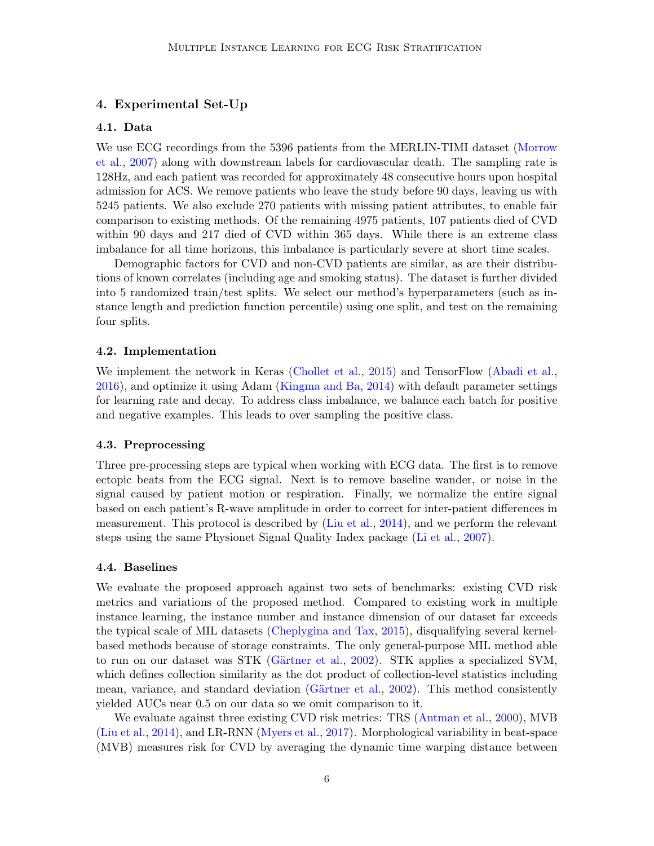## 4. Experimental Set-Up

### 4.1. Data

We use ECG recordings from the 5396 patients from the MERLIN-TIMI dataset [\(Morrow](#page-12-2) [et al.,](#page-12-2) [2007\)](#page-12-2) along with downstream labels for cardiovascular death. The sampling rate is 128Hz, and each patient was recorded for approximately 48 consecutive hours upon hospital admission for ACS. We remove patients who leave the study before 90 days, leaving us with 5245 patients. We also exclude 270 patients with missing patient attributes, to enable fair comparison to existing methods. Of the remaining 4975 patients, 107 patients died of CVD within 90 days and 217 died of CVD within 365 days. While there is an extreme class imbalance for all time horizons, this imbalance is particularly severe at short time scales.

Demographic factors for CVD and non-CVD patients are similar, as are their distributions of known correlates (including age and smoking status). The dataset is further divided into 5 randomized train/test splits. We select our method's hyperparameters (such as instance length and prediction function percentile) using one split, and test on the remaining four splits.

#### 4.2. Implementation

We implement the network in Keras [\(Chollet et al.,](#page-11-9) [2015\)](#page-11-9) and TensorFlow [\(Abadi et al.,](#page-10-3) [2016\)](#page-10-3), and optimize it using Adam [\(Kingma and Ba,](#page-11-10) [2014\)](#page-11-10) with default parameter settings for learning rate and decay. To address class imbalance, we balance each batch for positive and negative examples. This leads to over sampling the positive class.

#### <span id="page-5-0"></span>4.3. Preprocessing

Three pre-processing steps are typical when working with ECG data. The first is to remove ectopic beats from the ECG signal. Next is to remove baseline wander, or noise in the signal caused by patient motion or respiration. Finally, we normalize the entire signal based on each patient's R-wave amplitude in order to correct for inter-patient differences in measurement. This protocol is described by [\(Liu et al.,](#page-12-3) [2014\)](#page-12-3), and we perform the relevant steps using the same Physionet Signal Quality Index package [\(Li et al.,](#page-12-11) [2007\)](#page-12-11).

#### 4.4. Baselines

We evaluate the proposed approach against two sets of benchmarks: existing CVD risk metrics and variations of the proposed method. Compared to existing work in multiple instance learning, the instance number and instance dimension of our dataset far exceeds the typical scale of MIL datasets [\(Cheplygina and Tax,](#page-11-11) [2015\)](#page-11-11), disqualifying several kernelbased methods because of storage constraints. The only general-purpose MIL method able to run on our dataset was STK (Gärtner et al., [2002\)](#page-11-12). STK applies a specialized SVM, which defines collection similarity as the dot product of collection-level statistics including mean, variance, and standard deviation (Gärtner et al., [2002\)](#page-11-12). This method consistently yielded AUCs near 0.5 on our data so we omit comparison to it.

We evaluate against three existing CVD risk metrics: TRS [\(Antman et al.,](#page-10-1) [2000\)](#page-10-1), MVB [\(Liu et al.,](#page-12-3) [2014\)](#page-12-3), and LR-RNN [\(Myers et al.,](#page-12-4) [2017\)](#page-12-4). Morphological variability in beat-space (MVB) measures risk for CVD by averaging the dynamic time warping distance between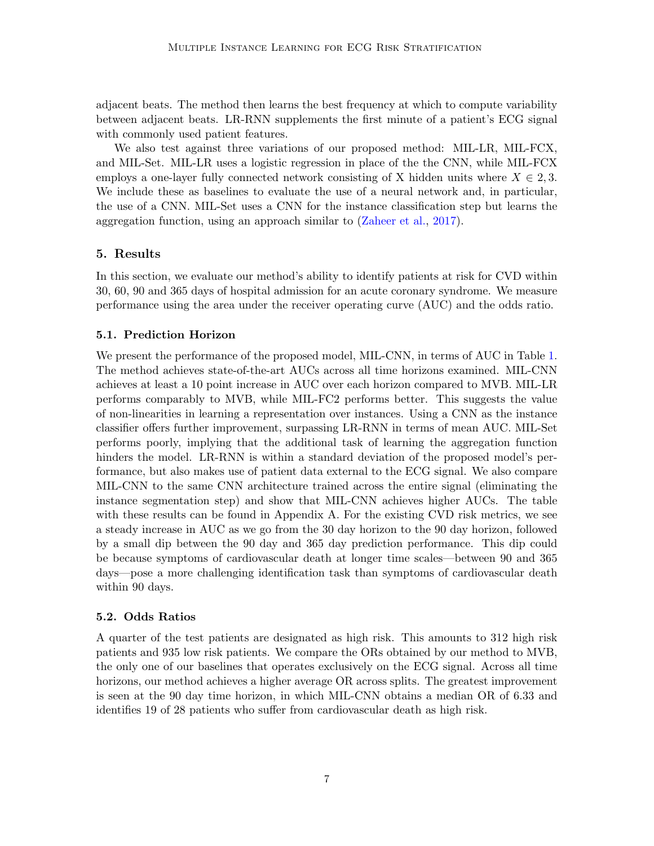adjacent beats. The method then learns the best frequency at which to compute variability between adjacent beats. LR-RNN supplements the first minute of a patient's ECG signal with commonly used patient features.

We also test against three variations of our proposed method: MIL-LR, MIL-FCX, and MIL-Set. MIL-LR uses a logistic regression in place of the the CNN, while MIL-FCX employs a one-layer fully connected network consisting of X hidden units where  $X \in 2, 3$ . We include these as baselines to evaluate the use of a neural network and, in particular, the use of a CNN. MIL-Set uses a CNN for the instance classification step but learns the aggregation function, using an approach similar to [\(Zaheer et al.,](#page-13-5) [2017\)](#page-13-5).

# 5. Results

In this section, we evaluate our method's ability to identify patients at risk for CVD within 30, 60, 90 and 365 days of hospital admission for an acute coronary syndrome. We measure performance using the area under the receiver operating curve (AUC) and the odds ratio.

# 5.1. Prediction Horizon

We present the performance of the proposed model, MIL-CNN, in terms of AUC in Table [1.](#page-7-0) The method achieves state-of-the-art AUCs across all time horizons examined. MIL-CNN achieves at least a 10 point increase in AUC over each horizon compared to MVB. MIL-LR performs comparably to MVB, while MIL-FC2 performs better. This suggests the value of non-linearities in learning a representation over instances. Using a CNN as the instance classifier offers further improvement, surpassing LR-RNN in terms of mean AUC. MIL-Set performs poorly, implying that the additional task of learning the aggregation function hinders the model. LR-RNN is within a standard deviation of the proposed model's performance, but also makes use of patient data external to the ECG signal. We also compare MIL-CNN to the same CNN architecture trained across the entire signal (eliminating the instance segmentation step) and show that MIL-CNN achieves higher AUCs. The table with these results can be found in Appendix A. For the existing CVD risk metrics, we see a steady increase in AUC as we go from the 30 day horizon to the 90 day horizon, followed by a small dip between the 90 day and 365 day prediction performance. This dip could be because symptoms of cardiovascular death at longer time scales—between 90 and 365 days—pose a more challenging identification task than symptoms of cardiovascular death within 90 days.

# 5.2. Odds Ratios

A quarter of the test patients are designated as high risk. This amounts to 312 high risk patients and 935 low risk patients. We compare the ORs obtained by our method to MVB, the only one of our baselines that operates exclusively on the ECG signal. Across all time horizons, our method achieves a higher average OR across splits. The greatest improvement is seen at the 90 day time horizon, in which MIL-CNN obtains a median OR of 6.33 and identifies 19 of 28 patients who suffer from cardiovascular death as high risk.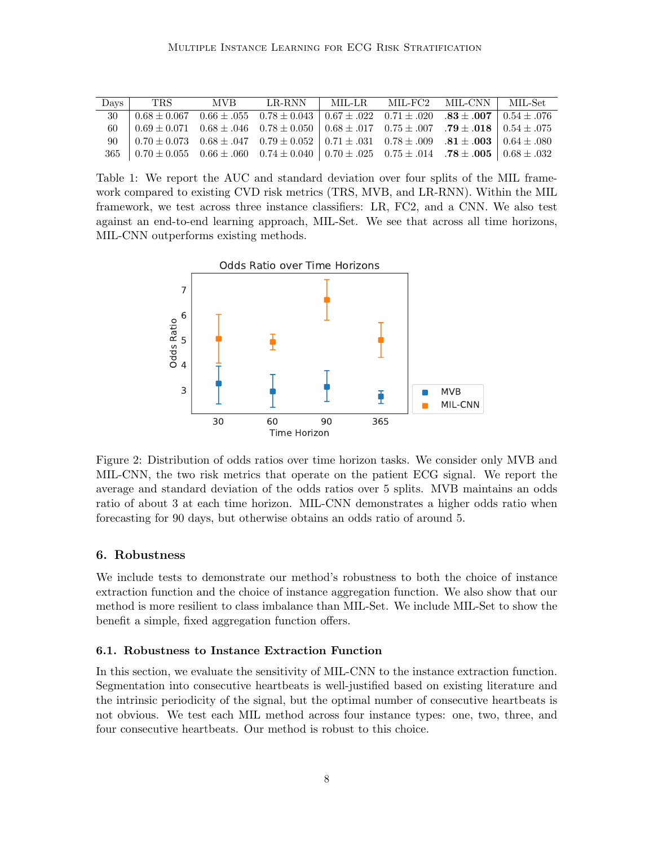<span id="page-7-0"></span>

| Days | TRS.                                                                                                                                                                                         | MVB |  | LR-RNN   MIL-LR. MIL-FC2 MIL-CNN   MIL-Set |  |
|------|----------------------------------------------------------------------------------------------------------------------------------------------------------------------------------------------|-----|--|--------------------------------------------|--|
|      | $\frac{30}{10.68 \pm 0.067}$ $\frac{0.66 \pm 0.055}{0.66 \pm 0.055}$ $\frac{0.78 \pm 0.043}{0.67 \pm 0.022}$ $\frac{0.71 \pm 0.020}{0.71 \pm 0.020}$ $\frac{0.83 \pm 0.007}{0.54 \pm 0.076}$ |     |  |                                            |  |
|      | 60 $0.69 \pm 0.071$ $0.68 \pm .046$ $0.78 \pm 0.050$ $0.68 \pm .017$ $0.75 \pm .007$ $\mathbf{.79} \pm .018$ $0.54 \pm .075$                                                                 |     |  |                                            |  |
|      | $90\quad 0.70 \pm 0.073$ $0.68 \pm .047$ $0.79 \pm 0.052$ $0.71 \pm .031$ $0.78 \pm .009$ $.81 \pm .003$ $0.64 \pm .080$                                                                     |     |  |                                            |  |
|      | $365$ $0.70 \pm 0.055$ $0.66 \pm .060$ $0.74 \pm 0.040$ $0.70 \pm .025$ $0.75 \pm .014$ $.78 \pm .005$ $0.68 \pm .032$                                                                       |     |  |                                            |  |

Table 1: We report the AUC and standard deviation over four splits of the MIL framework compared to existing CVD risk metrics (TRS, MVB, and LR-RNN). Within the MIL framework, we test across three instance classifiers: LR, FC2, and a CNN. We also test against an end-to-end learning approach, MIL-Set. We see that across all time horizons, MIL-CNN outperforms existing methods.



Figure 2: Distribution of odds ratios over time horizon tasks. We consider only MVB and MIL-CNN, the two risk metrics that operate on the patient ECG signal. We report the average and standard deviation of the odds ratios over 5 splits. MVB maintains an odds ratio of about 3 at each time horizon. MIL-CNN demonstrates a higher odds ratio when forecasting for 90 days, but otherwise obtains an odds ratio of around 5.

### 6. Robustness

We include tests to demonstrate our method's robustness to both the choice of instance extraction function and the choice of instance aggregation function. We also show that our method is more resilient to class imbalance than MIL-Set. We include MIL-Set to show the benefit a simple, fixed aggregation function offers.

#### 6.1. Robustness to Instance Extraction Function

In this section, we evaluate the sensitivity of MIL-CNN to the instance extraction function. Segmentation into consecutive heartbeats is well-justified based on existing literature and the intrinsic periodicity of the signal, but the optimal number of consecutive heartbeats is not obvious. We test each MIL method across four instance types: one, two, three, and four consecutive heartbeats. Our method is robust to this choice.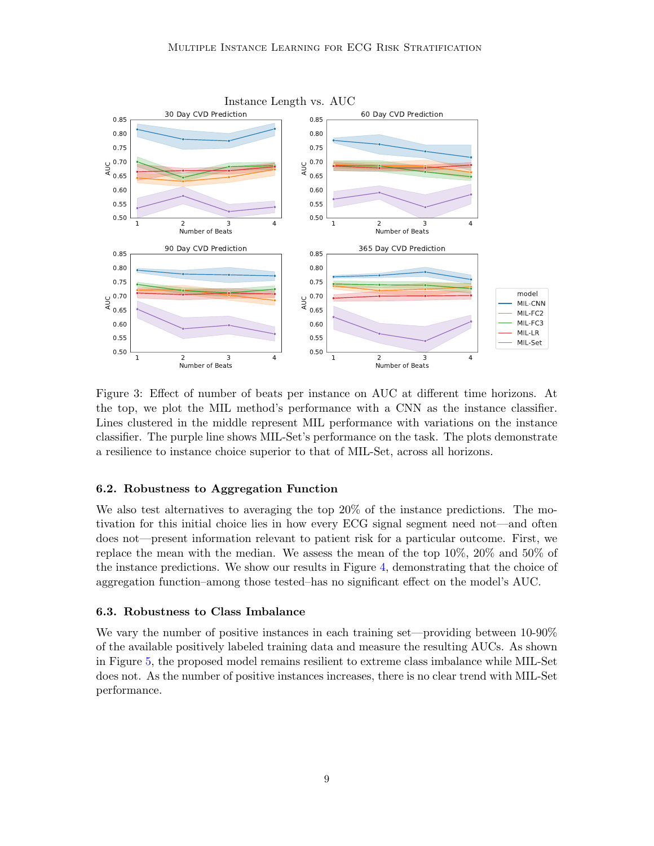

Figure 3: Effect of number of beats per instance on AUC at different time horizons. At the top, we plot the MIL method's performance with a CNN as the instance classifier. Lines clustered in the middle represent MIL performance with variations on the instance classifier. The purple line shows MIL-Set's performance on the task. The plots demonstrate a resilience to instance choice superior to that of MIL-Set, across all horizons.

#### 6.2. Robustness to Aggregation Function

We also test alternatives to averaging the top 20% of the instance predictions. The motivation for this initial choice lies in how every ECG signal segment need not—and often does not—present information relevant to patient risk for a particular outcome. First, we replace the mean with the median. We assess the mean of the top 10%, 20% and 50% of the instance predictions. We show our results in Figure [4,](#page-9-0) demonstrating that the choice of aggregation function–among those tested–has no significant effect on the model's AUC.

#### 6.3. Robustness to Class Imbalance

We vary the number of positive instances in each training set—providing between 10-90% of the available positively labeled training data and measure the resulting AUCs. As shown in Figure [5,](#page-10-4) the proposed model remains resilient to extreme class imbalance while MIL-Set does not. As the number of positive instances increases, there is no clear trend with MIL-Set performance.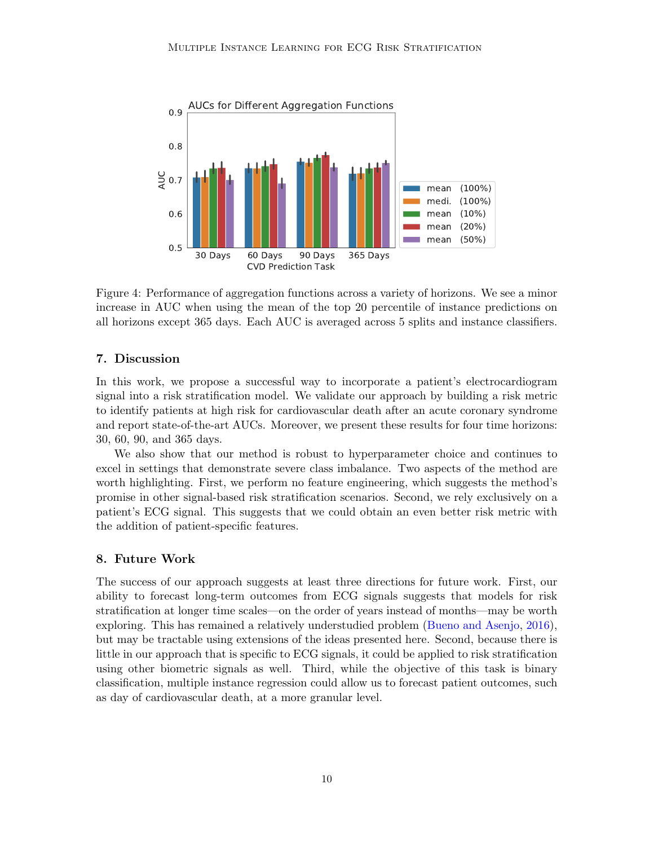<span id="page-9-0"></span>

Figure 4: Performance of aggregation functions across a variety of horizons. We see a minor increase in AUC when using the mean of the top 20 percentile of instance predictions on all horizons except 365 days. Each AUC is averaged across 5 splits and instance classifiers.

## 7. Discussion

In this work, we propose a successful way to incorporate a patient's electrocardiogram signal into a risk stratification model. We validate our approach by building a risk metric to identify patients at high risk for cardiovascular death after an acute coronary syndrome and report state-of-the-art AUCs. Moreover, we present these results for four time horizons: 30, 60, 90, and 365 days.

We also show that our method is robust to hyperparameter choice and continues to excel in settings that demonstrate severe class imbalance. Two aspects of the method are worth highlighting. First, we perform no feature engineering, which suggests the method's promise in other signal-based risk stratification scenarios. Second, we rely exclusively on a patient's ECG signal. This suggests that we could obtain an even better risk metric with the addition of patient-specific features.

### 8. Future Work

The success of our approach suggests at least three directions for future work. First, our ability to forecast long-term outcomes from ECG signals suggests that models for risk stratification at longer time scales—on the order of years instead of months—may be worth exploring. This has remained a relatively understudied problem [\(Bueno and Asenjo,](#page-10-5) [2016\)](#page-10-5), but may be tractable using extensions of the ideas presented here. Second, because there is little in our approach that is specific to ECG signals, it could be applied to risk stratification using other biometric signals as well. Third, while the objective of this task is binary classification, multiple instance regression could allow us to forecast patient outcomes, such as day of cardiovascular death, at a more granular level.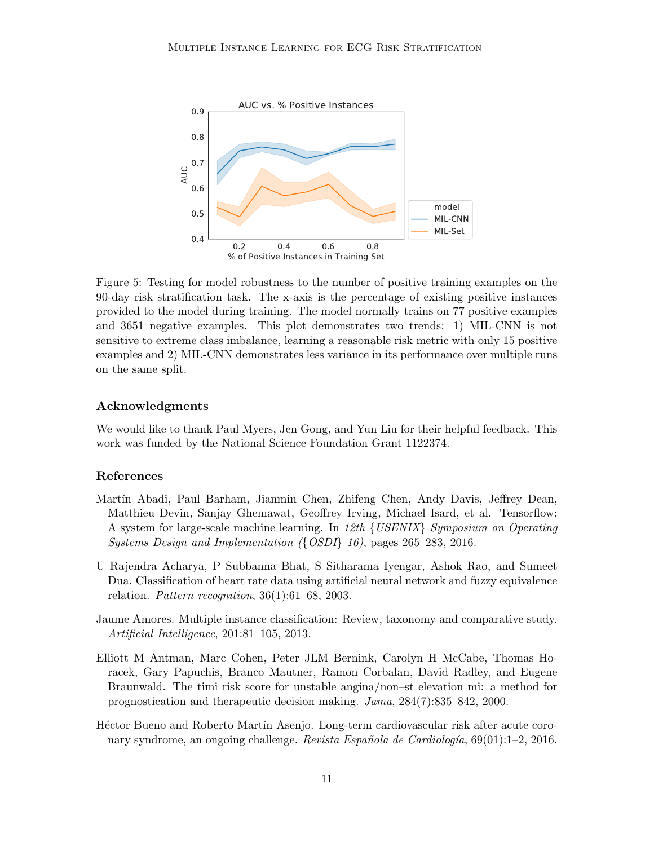<span id="page-10-4"></span>

Figure 5: Testing for model robustness to the number of positive training examples on the 90-day risk stratification task. The x-axis is the percentage of existing positive instances provided to the model during training. The model normally trains on 77 positive examples and 3651 negative examples. This plot demonstrates two trends: 1) MIL-CNN is not sensitive to extreme class imbalance, learning a reasonable risk metric with only 15 positive examples and 2) MIL-CNN demonstrates less variance in its performance over multiple runs on the same split.

## Acknowledgments

We would like to thank Paul Myers, Jen Gong, and Yun Liu for their helpful feedback. This work was funded by the National Science Foundation Grant 1122374.

## References

- <span id="page-10-3"></span>Martín Abadi, Paul Barham, Jianmin Chen, Zhifeng Chen, Andy Davis, Jeffrey Dean, Matthieu Devin, Sanjay Ghemawat, Geoffrey Irving, Michael Isard, et al. Tensorflow: A system for large-scale machine learning. In 12th {USENIX} Symposium on Operating Systems Design and Implementation ({OSDI} 16), pages 265–283, 2016.
- <span id="page-10-0"></span>U Rajendra Acharya, P Subbanna Bhat, S Sitharama Iyengar, Ashok Rao, and Sumeet Dua. Classification of heart rate data using artificial neural network and fuzzy equivalence relation. Pattern recognition,  $36(1):61-68$ , 2003.
- <span id="page-10-2"></span>Jaume Amores. Multiple instance classification: Review, taxonomy and comparative study. Artificial Intelligence, 201:81–105, 2013.
- <span id="page-10-1"></span>Elliott M Antman, Marc Cohen, Peter JLM Bernink, Carolyn H McCabe, Thomas Horacek, Gary Papuchis, Branco Mautner, Ramon Corbalan, David Radley, and Eugene Braunwald. The timi risk score for unstable angina/non–st elevation mi: a method for prognostication and therapeutic decision making. Jama, 284(7):835–842, 2000.
- <span id="page-10-5"></span>Héctor Bueno and Roberto Martín Asenjo. Long-term cardiovascular risk after acute coronary syndrome, an ongoing challenge. Revista Española de Cardiología,  $69(01):1-2$ , 2016.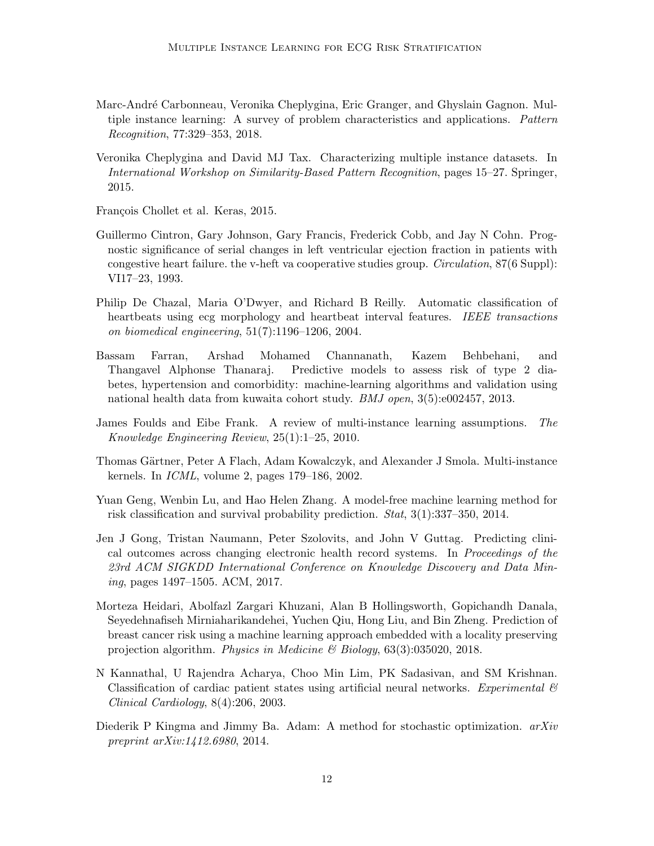- <span id="page-11-6"></span>Marc-Andr´e Carbonneau, Veronika Cheplygina, Eric Granger, and Ghyslain Gagnon. Multiple instance learning: A survey of problem characteristics and applications. Pattern Recognition, 77:329–353, 2018.
- <span id="page-11-11"></span>Veronika Cheplygina and David MJ Tax. Characterizing multiple instance datasets. In International Workshop on Similarity-Based Pattern Recognition, pages 15–27. Springer, 2015.

<span id="page-11-9"></span>François Chollet et al. Keras, 2015.

- <span id="page-11-5"></span>Guillermo Cintron, Gary Johnson, Gary Francis, Frederick Cobb, and Jay N Cohn. Prognostic significance of serial changes in left ventricular ejection fraction in patients with congestive heart failure. the v-heft va cooperative studies group. Circulation, 87(6 Suppl): VI17–23, 1993.
- <span id="page-11-8"></span>Philip De Chazal, Maria O'Dwyer, and Richard B Reilly. Automatic classification of heartbeats using ecg morphology and heartbeat interval features. IEEE transactions on biomedical engineering, 51(7):1196–1206, 2004.
- <span id="page-11-4"></span>Bassam Farran, Arshad Mohamed Channanath, Kazem Behbehani, and Thangavel Alphonse Thanaraj. Predictive models to assess risk of type 2 diabetes, hypertension and comorbidity: machine-learning algorithms and validation using national health data from kuwaita cohort study. BMJ open, 3(5):e002457, 2013.
- <span id="page-11-7"></span>James Foulds and Eibe Frank. A review of multi-instance learning assumptions. The Knowledge Engineering Review, 25(1):1–25, 2010.
- <span id="page-11-12"></span>Thomas Gärtner, Peter A Flach, Adam Kowalczyk, and Alexander J Smola. Multi-instance kernels. In ICML, volume 2, pages 179–186, 2002.
- <span id="page-11-3"></span>Yuan Geng, Wenbin Lu, and Hao Helen Zhang. A model-free machine learning method for risk classification and survival probability prediction. Stat, 3(1):337–350, 2014.
- <span id="page-11-1"></span>Jen J Gong, Tristan Naumann, Peter Szolovits, and John V Guttag. Predicting clinical outcomes across changing electronic health record systems. In Proceedings of the 23rd ACM SIGKDD International Conference on Knowledge Discovery and Data Mining, pages 1497–1505. ACM, 2017.
- <span id="page-11-0"></span>Morteza Heidari, Abolfazl Zargari Khuzani, Alan B Hollingsworth, Gopichandh Danala, Seyedehnafiseh Mirniaharikandehei, Yuchen Qiu, Hong Liu, and Bin Zheng. Prediction of breast cancer risk using a machine learning approach embedded with a locality preserving projection algorithm. Physics in Medicine & Biology, 63(3):035020, 2018.
- <span id="page-11-2"></span>N Kannathal, U Rajendra Acharya, Choo Min Lim, PK Sadasivan, and SM Krishnan. Classification of cardiac patient states using artificial neural networks. Experimental  $\mathcal{C}$ Clinical Cardiology, 8(4):206, 2003.
- <span id="page-11-10"></span>Diederik P Kingma and Jimmy Ba. Adam: A method for stochastic optimization.  $arXiv$ preprint arXiv:1412.6980, 2014.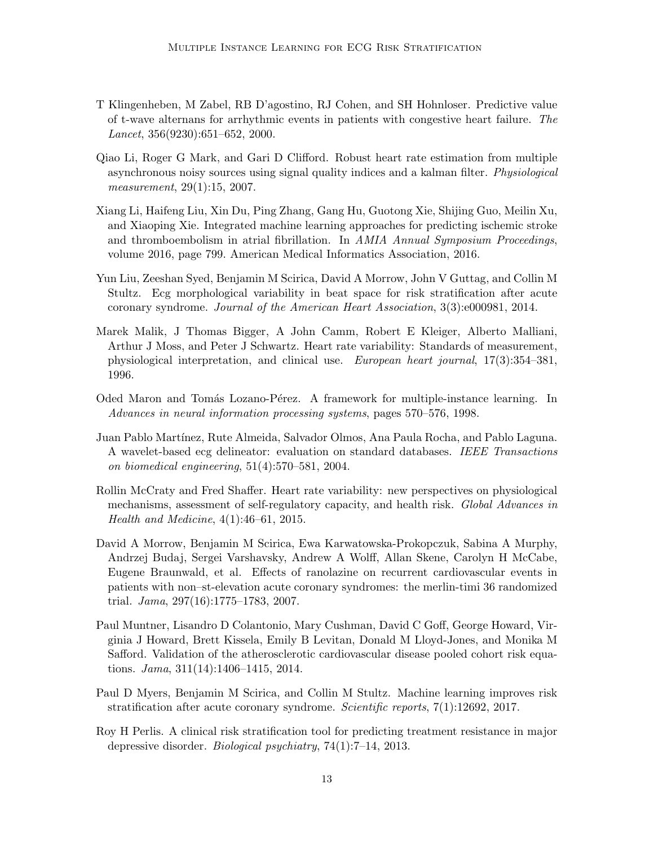- <span id="page-12-5"></span>T Klingenheben, M Zabel, RB D'agostino, RJ Cohen, and SH Hohnloser. Predictive value of t-wave alternans for arrhythmic events in patients with congestive heart failure. The Lancet, 356(9230):651–652, 2000.
- <span id="page-12-11"></span>Qiao Li, Roger G Mark, and Gari D Clifford. Robust heart rate estimation from multiple asynchronous noisy sources using signal quality indices and a kalman filter. Physiological measurement, 29(1):15, 2007.
- <span id="page-12-0"></span>Xiang Li, Haifeng Liu, Xin Du, Ping Zhang, Gang Hu, Guotong Xie, Shijing Guo, Meilin Xu, and Xiaoping Xie. Integrated machine learning approaches for predicting ischemic stroke and thromboembolism in atrial fibrillation. In AMIA Annual Symposium Proceedings, volume 2016, page 799. American Medical Informatics Association, 2016.
- <span id="page-12-3"></span>Yun Liu, Zeeshan Syed, Benjamin M Scirica, David A Morrow, John V Guttag, and Collin M Stultz. Ecg morphological variability in beat space for risk stratification after acute coronary syndrome. Journal of the American Heart Association, 3(3):e000981, 2014.
- <span id="page-12-7"></span>Marek Malik, J Thomas Bigger, A John Camm, Robert E Kleiger, Alberto Malliani, Arthur J Moss, and Peter J Schwartz. Heart rate variability: Standards of measurement, physiological interpretation, and clinical use. European heart journal, 17(3):354–381, 1996.
- <span id="page-12-9"></span>Oded Maron and Tomás Lozano-Pérez. A framework for multiple-instance learning. In Advances in neural information processing systems, pages 570–576, 1998.
- <span id="page-12-10"></span>Juan Pablo Mart´ınez, Rute Almeida, Salvador Olmos, Ana Paula Rocha, and Pablo Laguna. A wavelet-based ecg delineator: evaluation on standard databases. IEEE Transactions on biomedical engineering, 51(4):570–581, 2004.
- <span id="page-12-8"></span>Rollin McCraty and Fred Shaffer. Heart rate variability: new perspectives on physiological mechanisms, assessment of self-regulatory capacity, and health risk. Global Advances in Health and Medicine, 4(1):46–61, 2015.
- <span id="page-12-2"></span>David A Morrow, Benjamin M Scirica, Ewa Karwatowska-Prokopczuk, Sabina A Murphy, Andrzej Budaj, Sergei Varshavsky, Andrew A Wolff, Allan Skene, Carolyn H McCabe, Eugene Braunwald, et al. Effects of ranolazine on recurrent cardiovascular events in patients with non–st-elevation acute coronary syndromes: the merlin-timi 36 randomized trial. Jama, 297(16):1775–1783, 2007.
- <span id="page-12-6"></span>Paul Muntner, Lisandro D Colantonio, Mary Cushman, David C Goff, George Howard, Virginia J Howard, Brett Kissela, Emily B Levitan, Donald M Lloyd-Jones, and Monika M Safford. Validation of the atherosclerotic cardiovascular disease pooled cohort risk equations. Jama, 311(14):1406–1415, 2014.
- <span id="page-12-4"></span>Paul D Myers, Benjamin M Scirica, and Collin M Stultz. Machine learning improves risk stratification after acute coronary syndrome. Scientific reports, 7(1):12692, 2017.
- <span id="page-12-1"></span>Roy H Perlis. A clinical risk stratification tool for predicting treatment resistance in major depressive disorder. Biological psychiatry, 74(1):7–14, 2013.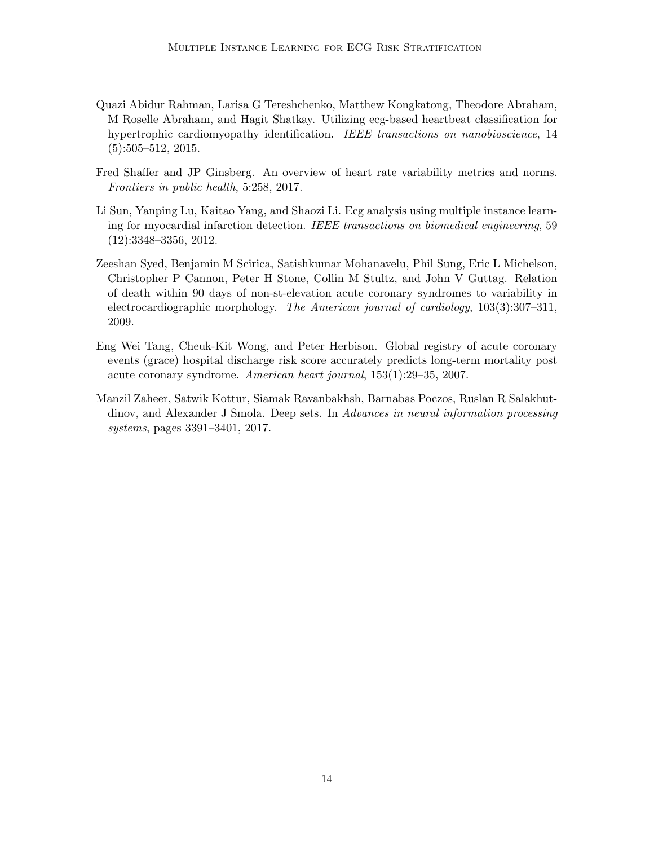- <span id="page-13-0"></span>Quazi Abidur Rahman, Larisa G Tereshchenko, Matthew Kongkatong, Theodore Abraham, M Roselle Abraham, and Hagit Shatkay. Utilizing ecg-based heartbeat classification for hypertrophic cardiomyopathy identification. IEEE transactions on nanobioscience, 14  $(5):505-512, 2015.$
- <span id="page-13-4"></span>Fred Shaffer and JP Ginsberg. An overview of heart rate variability metrics and norms. Frontiers in public health, 5:258, 2017.
- <span id="page-13-3"></span>Li Sun, Yanping Lu, Kaitao Yang, and Shaozi Li. Ecg analysis using multiple instance learning for myocardial infarction detection. IEEE transactions on biomedical engineering, 59 (12):3348–3356, 2012.
- <span id="page-13-1"></span>Zeeshan Syed, Benjamin M Scirica, Satishkumar Mohanavelu, Phil Sung, Eric L Michelson, Christopher P Cannon, Peter H Stone, Collin M Stultz, and John V Guttag. Relation of death within 90 days of non-st-elevation acute coronary syndromes to variability in electrocardiographic morphology. The American journal of cardiology, 103(3):307–311, 2009.
- <span id="page-13-2"></span>Eng Wei Tang, Cheuk-Kit Wong, and Peter Herbison. Global registry of acute coronary events (grace) hospital discharge risk score accurately predicts long-term mortality post acute coronary syndrome. American heart journal, 153(1):29–35, 2007.
- <span id="page-13-5"></span>Manzil Zaheer, Satwik Kottur, Siamak Ravanbakhsh, Barnabas Poczos, Ruslan R Salakhutdinov, and Alexander J Smola. Deep sets. In Advances in neural information processing systems, pages 3391–3401, 2017.